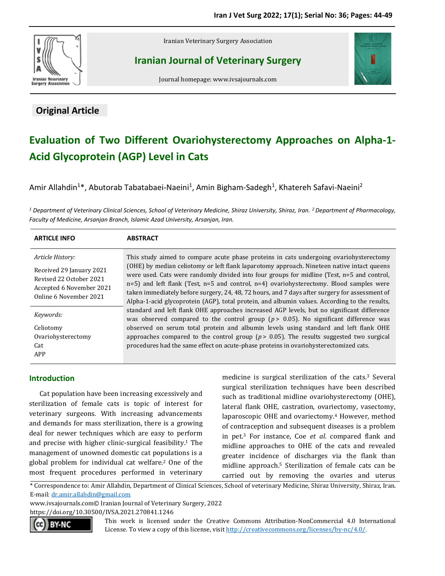

# **Original Article**

Iranian Veterinary Surgery Association

**Iranian Journal of Veterinary Surgery**



Journal homepage: www.ivsajournals.com

# **Evaluation of Two Different Ovariohysterectomy Approaches on Alpha-1- Acid Glycoprotein (AGP) Level in Cats**

Amir Allahdin<sup>1\*</sup>, Abutorab Tabatabaei-Naeini<sup>1</sup>, Amin Bigham-Sadegh<sup>1</sup>, Khatereh Safavi-Naeini<sup>2</sup>

*<sup>1</sup> Department of Veterinary Clinical Sciences, School of Veterinary Medicine, Shiraz University, Shiraz, Iran. <sup>2</sup> Department of Pharmacology, Faculty of Medicine, Arsanjan Branch, Islamic Azad University, Arsanjan, Iran.*

| <b>ARTICLE INFO</b>                                                                                                           | <b>ABSTRACT</b>                                                                                                                                                                                                                                                                                                                                                                                                                                                                                                                                                                                                                                                                                                                                                                                                                                                                                                                                                                                                                                                    |
|-------------------------------------------------------------------------------------------------------------------------------|--------------------------------------------------------------------------------------------------------------------------------------------------------------------------------------------------------------------------------------------------------------------------------------------------------------------------------------------------------------------------------------------------------------------------------------------------------------------------------------------------------------------------------------------------------------------------------------------------------------------------------------------------------------------------------------------------------------------------------------------------------------------------------------------------------------------------------------------------------------------------------------------------------------------------------------------------------------------------------------------------------------------------------------------------------------------|
| Article History:<br>Received 29 January 2021<br>Revised 22 October 2021<br>Accepted 6 November 2021<br>Online 6 November 2021 | This study aimed to compare acute phase proteins in cats undergoing ovariohysterectomy<br>(OHE) by median celiotomy or left flank laparotomy approach. Nineteen native intact queens<br>were used. Cats were randomly divided into four groups for midline (Test, n=5 and control,<br>$n=5$ ) and left flank (Test, $n=5$ and control, $n=4$ ) ovariohysterectomy. Blood samples were<br>taken immediately before surgery, 24, 48, 72 hours, and 7 days after surgery for assessment of<br>Alpha-1-acid glycoprotein (AGP), total protein, and albumin values. According to the results,<br>standard and left flank OHE approaches increased AGP levels, but no significant difference<br>was observed compared to the control group ( $p > 0.05$ ). No significant difference was<br>observed on serum total protein and albumin levels using standard and left flank OHE<br>approaches compared to the control group ( $p > 0.05$ ). The results suggested two surgical<br>procedures had the same effect on acute-phase proteins in ovariohysterectomized cats. |
| Keywords:<br>Celiotomy<br>Ovariohysterectomy<br>Cat<br>APP                                                                    |                                                                                                                                                                                                                                                                                                                                                                                                                                                                                                                                                                                                                                                                                                                                                                                                                                                                                                                                                                                                                                                                    |

## **Introduction**

Cat population have been increasing excessively and sterilization of female cats is topic of interest for veterinary surgeons. With increasing advancements and demands for mass sterilization, there is a growing deal for newer techniques which are easy to perform and precise with higher clinic-surgical feasibility. <sup>1</sup> The management of unowned domestic cat populations is a global problem for individual cat welfare. <sup>2</sup> One of the most frequent procedures performed in veterinary

medicine is surgical sterilization of the cats. <sup>3</sup> Several surgical sterilization techniques have been described such as traditional midline ovariohysterectomy (OHE), lateral flank OHE, castration, ovariectomy, vasectomy, laparoscopic OHE and ovariectomy. <sup>4</sup> However, method of contraception and subsequent diseases is a problem in pet. <sup>3</sup> For instance, Coe *et al*. compared flank and midline approaches to OHE of the cats and revealed greater incidence of discharges via the flank than midline approach. <sup>5</sup> Sterilization of female cats can be carried out by removing the ovaries and uterus

\* Correspondence to: Amir Allahdin, Department of Clinical Sciences, School of veterinary Medicine, Shiraz University, Shiraz, Iran. E-mail[: dr.amir.allahdin@gmail.com](mailto:dr.amir.allahdin@gmail.com)

www.ivsajournals.com© Iranian Journal of Veterinary Surgery, 2022

https://doi.org/10.30500/IVSA.2021.270841.1246



This work is licensed under the Creative Commons Attribution-NonCommercial 4.0 International License. To view a copy of this license, visit [http://creativecommons.org/licenses/by-nc/4.0/.](http://creativecommons.org/licenses/by-nc/4.0/)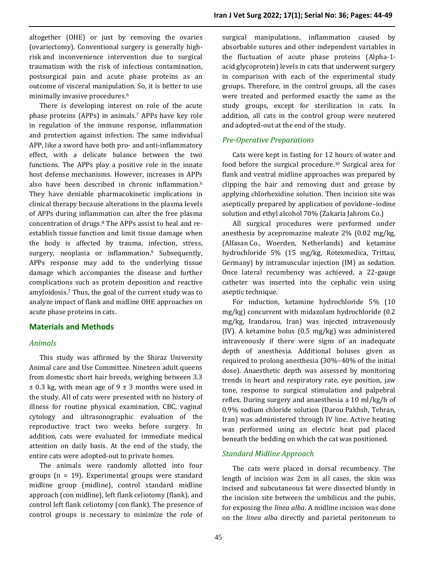altogether (OHE) or just by removing the ovaries (ovariectomy). Conventional surgery is generally highrisk and inconvenience intervention due to surgical traumatism with the risk of infectious contamination, postsurgical pain and acute phase proteins as an outcome of visceral manipulation. So, it is better to use minimally invasive procedures. 6

There is developing interest on role of the acute phase proteins (APPs) in animals. <sup>7</sup> APPs have key role in regulation of the immune response, inflammation and protection against infection. The same individual APP, like a sword have both pro- and anti-inflammatory effect, with a delicate balance between the two functions. The APPs play a positive role in the innate host defense mechanisms. However, increases in APPs also have been described in chronic inflammation. 6 They have deniable pharmacokinetic implications in clinical therapy because alterations in the plasma levels of APPs during inflammation can alter the free plasma concentration of drugs. <sup>8</sup> The APPs assist to heal and reestablish tissue function and limit tissue damage when the body is affected by trauma, infection, stress, surgery, neoplasia or inflammation. <sup>9</sup> Subsequently, APPs response may add to the underlying tissue damage which accompanies the disease and further complications such as protein deposition and reactive amyloidosis. <sup>7</sup> Thus, the goal of the current study was to analyze impact of flank and midline OHE approaches on acute phase proteins in cats.

#### **Materials and Methods**

### *Animals*

This study was affirmed by the Shiraz University Animal care and Use Committee. Nineteen adult queens from domestic short hair breeds, weighing between 3.3  $\pm$  0.3 kg, with mean age of 9  $\pm$  3 months were used in the study. All of cats were presented with no history of illness for routine physical examination, CBC, vaginal cytology and ultrasonographic evaluation of the reproductive tract two weeks before surgery. In addition, cats were evaluated for immediate medical attention on daily basis. At the end of the study, the entire cats were adopted-out to private homes.

The animals were randomly allotted into four groups (n = 19). Experimental groups were standard midline group (midline), control standard midline approach (con midline), left flank celiotomy (flank), and control left flank celiotomy (con flank). The presence of control groups is necessary to minimize the role of

surgical manipulations, inflammation caused by absorbable sutures and other independent variables in the fluctuation of acute phase proteins (Alpha-1 acid glycoprotein) levels in cats that underwent surgery in comparison with each of the experimental study groups. Therefore, in the control groups, all the cases were treated and performed exactly the same as the study groups, except for sterilization in cats. In addition, all cats in the control group were neutered and adopted-out at the end of the study.

#### *Pre-Operative Preparations*

Cats were kept in fasting for 12 hours of water and food before the surgical procedure. <sup>10</sup> Surgical area for flank and ventral midline approaches was prepared by clipping the hair and removing dust and grease by applying chlorhexidine solution. Then incision site was aseptically prepared by application of povidone–iodine solution and ethyl alcohol 70% (Zakaria Jahrom Co.)

All surgical procedures were performed under anesthesia by acepromazine maleate 2% (0.02 mg/kg, (Alfasan Co., Woerden, Netherlands) and ketamine hydrochloride 5% (15 mg/kg, Rotexmedica, Trittau, Germany) by intramuscular injection (IM) as sedation. Once lateral recumbency was achieved, a 22-gauge catheter was inserted into the cephalic vein using aseptic technique.

For induction, ketamine hydrochloride 5% (10 mg/kg) concurrent with midazolam hydrochloride (0.2 mg/kg, Irandarou, Iran) was injected intravenously (IV). A ketamine bolus (0.5 mg/kg) was administered intravenously if there were signs of an inadequate depth of anesthesia. Additional boluses given as required to prolong anesthesia (30%–40% of the initial dose). Anaesthetic depth was assessed by monitoring trends in heart and respiratory rate, eye position, jaw tone, response to surgical stimulation and palpebral reflex. During surgery and anaesthesia a 10 ml/kg/h of 0.9% sodium chloride solution (Darou Pakhsh, Tehran, Iran) was administered through IV line. Active heating was performed using an electric heat pad placed beneath the bedding on which the cat was positioned.

### *Standard Midline Approach*

The cats were placed in dorsal recumbency. The length of incision was 2cm in all cases, the skin was incised and subcutaneous fat were dissected bluntly in the incision site between the umbilicus and the pubis, for exposing the *linea alba*. A midline incision was done on the *linea alba* directly and parietal peritoneum to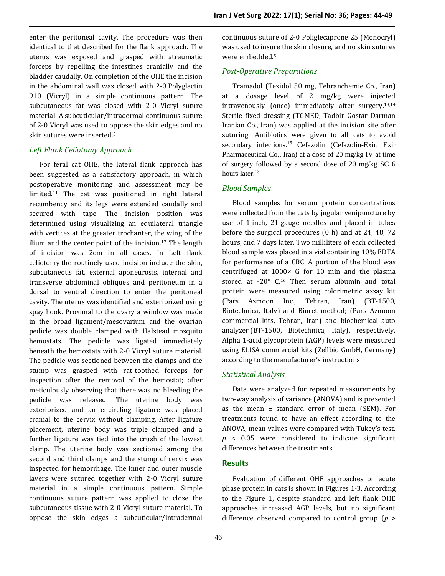enter the peritoneal cavity. The procedure was then identical to that described for the flank approach. The uterus was exposed and grasped with atraumatic forceps by repelling the intestines cranially and the bladder caudally. On completion of the OHE the incision in the abdominal wall was closed with 2-0 Polyglactin 910 (Vicryl) in a simple continuous pattern. The subcutaneous fat was closed with 2-0 Vicryl suture material. A subcuticular/intradermal continuous suture of 2-0 Vicryl was used to oppose the skin edges and no skin sutures were inserted. 5

### *Left Flank Celiotomy Approach*

For feral cat OHE, the lateral flank approach has been suggested as a satisfactory approach, in which postoperative monitoring and assessment may be limited. <sup>11</sup> The cat was positioned in right lateral recumbency and its legs were extended caudally and secured with tape. The incision position was determined using visualizing an equilateral triangle with vertices at the greater trochanter, the wing of the ilium and the center point of the incision. <sup>12</sup> The length of incision was 2cm in all cases. In Left flank celiotomy the routinely used incision include the skin, subcutaneous fat, external aponeurosis, internal and transverse abdominal obliques and peritoneum in a dorsal to ventral direction to enter the peritoneal cavity. The uterus was identified and exteriorized using spay hook. Proximal to the ovary a window was made in the broad ligament/mesovarium and the ovarian pedicle was double clamped with Halstead mosquito hemostats. The pedicle was ligated immediately beneath the hemostats with 2-0 Vicryl suture material. The pedicle was sectioned between the clamps and the stump was grasped with rat-toothed forceps for inspection after the removal of the hemostat; after meticulously observing that there was no bleeding the pedicle was released. The uterine body was exteriorized and an encircling ligature was placed cranial to the cervix without clamping. After ligature placement, uterine body was triple clamped and a further ligature was tied into the crush of the lowest clamp. The uterine body was sectioned among the second and third clamps and the stump of cervix was inspected for hemorrhage. The inner and outer muscle layers were sutured together with 2-0 Vicryl suture material in a simple continuous pattern. Simple continuous suture pattern was applied to close the subcutaneous tissue with 2-0 Vicryl suture material. To oppose the skin edges a subcuticular/intradermal

continuous suture of 2-0 Poliglecaprone 25 (Monocryl) was used to insure the skin closure, and no skin sutures were embedded. 5

#### *Post-Operative Preparations*

Tramadol (Texidol 50 mg, Tehranchemie Co., Iran) at a dosage level of 2 mg/kg were injected intravenously (once) immediately after surgery. 13,14 Sterile fixed dressing (TGMED, Tadbir Gostar Darman Iranian Co., Iran) was applied at the incision site after suturing. Antibiotics were given to all cats to avoid secondary infections.<sup>15</sup> Cefazolin (Cefazolin-Exir, Exir Pharmaceutical Co., Iran) at a dose of 20 mg/kg IV at time of surgery followed by a second dose of 20 mg/kg SC 6 hours later.<sup>13</sup>

#### *Blood Samples*

Blood samples for serum protein concentrations were collected from the cats by jugular venipuncture by use of 1-inch, 21-gauge needles and placed in tubes before the surgical procedures (0 h) and at 24, 48, 72 hours, and 7 days later. Two milliliters of each collected blood sample was placed in a vial containing 10% EDTA for performance of a CBC. A portion of the blood was centrifuged at 1000× G for 10 min and the plasma stored at -20° C. <sup>16</sup> Then serum albumin and total protein were measured using colorimetric assay kit (Pars Azmoon Inc., Tehran, Iran) (BT-1500, Biotechnica, Italy) and Biuret method; (Pars Azmoon commercial kits, Tehran, Iran) and biochemical auto analyzer (BT-1500, Biotechnica, Italy), respectively. Alpha 1-acid glycoprotein (AGP) levels were measured using ELISA commercial kits (Zellbio GmbH, Germany) according to the manufacturer's instructions.

#### *Statistical Analysis*

Data were analyzed for repeated measurements by two-way analysis of variance (ANOVA) and is presented as the mean  $\pm$  standard error of mean (SEM). For treatments found to have an effect according to the ANOVA, mean values were compared with Tukey's test. *p* < 0.05 were considered to indicate significant differences between the treatments.

#### **Results**

Evaluation of different OHE approaches on acute phase protein in cats is shown in Figures 1-3. According to the Figure 1, despite standard and left flank OHE approaches increased AGP levels, but no significant difference observed compared to control group (*p* >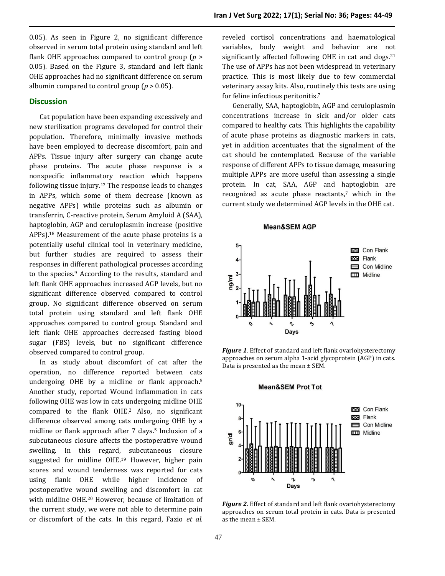0.05). As seen in Figure 2, no significant difference observed in serum total protein using standard and left flank OHE approaches compared to control group (*p* > 0.05). Based on the Figure 3, standard and left flank OHE approaches had no significant difference on serum albumin compared to control group ( $p > 0.05$ ).

#### **Discussion**

Cat population have been expanding excessively and new sterilization programs developed for control their population. Therefore, minimally invasive methods have been employed to decrease discomfort, pain and APPs. Tissue injury after surgery can change acute phase proteins. The acute phase response is a nonspecific inflammatory reaction which happens following tissue injury. <sup>17</sup> The response leads to changes in APPs, which some of them decrease (known as negative APPs) while proteins such as albumin or transferrin, C-reactive protein, Serum Amyloid A (SAA), haptoglobin, AGP and ceruloplasmin increase (positive APPs). <sup>18</sup> Measurement of the acute phase proteins is a potentially useful clinical tool in veterinary medicine, but further studies are required to assess their responses in different pathological processes according to the species. <sup>9</sup> According to the results, standard and left flank OHE approaches increased AGP levels, but no significant difference observed compared to control group. No significant difference observed on serum total protein using standard and left flank OHE approaches compared to control group. Standard and left flank OHE approaches decreased fasting blood sugar (FBS) levels, but no significant difference observed compared to control group.

In as study about discomfort of cat after the operation, no difference reported between cats undergoing OHE by a midline or flank approach. 5 Another study, reported Wound inflammation in cats following OHE was low in cats undergoing midline OHE compared to the flank OHE.<sup>2</sup> Also, no significant difference observed among cats undergoing OHE by a midline or flank approach after 7 days. <sup>5</sup> Inclusion of a subcutaneous closure affects the postoperative wound swelling. In this regard, subcutaneous closure suggested for midline OHE. <sup>19</sup> However, higher pain scores and wound tenderness was reported for cats using flank OHE while higher incidence of postoperative wound swelling and discomfort in cat with midline OHE. <sup>20</sup> However, because of limitation of the current study, we were not able to determine pain or discomfort of the cats. In this regard, Fazio *et al.*

reveled cortisol concentrations and haematological variables, body weight and behavior are not significantly affected following OHE in cat and dogs. 21 The use of APPs has not been widespread in veterinary practice. This is most likely due to few commercial veterinary assay kits. Also, routinely this tests are using for feline infectious peritonitis. 7

Generally, SAA, haptoglobin, AGP and ceruloplasmin concentrations increase in sick and/or older cats compared to healthy cats. This highlights the capability of acute phase proteins as diagnostic markers in cats, yet in addition accentuates that the signalment of the cat should be contemplated. Because of the variable response of different APPs to tissue damage, measuring multiple APPs are more useful than assessing a single protein. In cat, SAA, AGP and haptoglobin are recognized as acute phase reactants, <sup>7</sup> which in the current study we determined AGP levels in the OHE cat.

#### **Mean&SEM AGP**



*Figure 1*. Effect of standard and left flank ovariohysterectomy approaches on serum alpha 1-acid glycoprotein (AGP) in cats. Data is presented as the mean  $\pm$  SEM.



*Figure 2.* Effect of standard and left flank ovariohysterectomy approaches on serum total protein in cats. Data is presented as the mean ± SEM.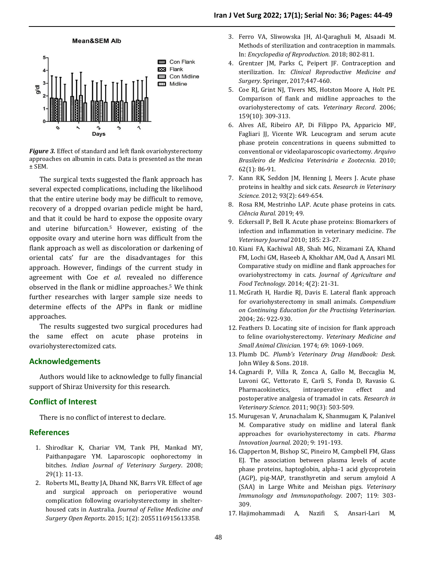

*Figure 3.* Effect of standard and left flank ovariohysterectomy approaches on albumin in cats. Data is presented as the mean ± SEM.

The surgical texts suggested the flank approach has several expected complications, including the likelihood that the entire uterine body may be difficult to remove, recovery of a dropped ovarian pedicle might be hard, and that it could be hard to expose the opposite ovary and uterine bifurcation. <sup>5</sup> However, existing of the opposite ovary and uterine horn was difficult from the flank approach as well as discoloration or darkening of oriental cats' fur are the disadvantages for this approach. However, findings of the current study in agreement with Coe *et al.* revealed no difference observed in the flank or midline approaches. <sup>5</sup> We think further researches with larger sample size needs to determine effects of the APPs in flank or midline approaches.

The results suggested two surgical procedures had the same effect on acute phase proteins in ovariohysterectomized cats.

#### **Acknowledgements**

Authors would like to acknowledge to fully financial support of Shiraz University for this research.

#### **Conflict of Interest**

There is no conflict of interest to declare.

#### **References**

- 1. Shirodkar K, Chariar VM, Tank PH, Mankad MY, Paithanpagare YM. Laparoscopic oophorectomy in bitches. *Indian Journal of Veterinary Surgery*. 2008; 29(1): 11-13.
- 2. Roberts ML, Beatty JA, Dhand NK, Barrs VR. Effect of age and surgical approach on perioperative wound complication following ovariohysterectomy in shelterhoused cats in Australia. *Journal of Feline Medicine and Surgery Open Reports*. 2015; 1(2): 2055116915613358.
- 3. Ferro VA, Sliwowska JH, Al-Qaraghuli M, Alsaadi M. Methods of sterilization and contraception in mammals. In: *Encyclopedia of Reproduction*. 2018; 802-811.
- 4. Grentzer JM, Parks C, Peipert JF. Contraception and sterilization. In: *Clinical Reproductive Medicine and Surgery*. Springer, 2017;447-460.
- 5. Coe RJ, Grint NJ, Tivers MS, Hotston Moore A, Holt PE. Comparison of flank and midline approaches to the ovariohysterectomy of cats. *Veterinary Record*. 2006; 159(10): 309-313.
- 6. Alves AE, Ribeiro AP, Di Filippo PA, Apparicio MF, Fagliari JJ, Vicente WR. Leucogram and serum acute phase protein concentrations in queens submitted to conventional or videolaparoscopic ovariectomy. *Arquivo Brasileiro de Medicina Veterinária e Zootecnia*. 2010; 62(1): 86-91.
- 7. Kann RK, Seddon JM, Henning J, Meers J. Acute phase proteins in healthy and sick cats. *Research in Veterinary Science.* 2012; 93(2): 649-654.
- 8. Rosa RM, Mestrinho LAP. Acute phase proteins in cats. *Ciência Rural.* 2019; 49.
- 9. Eckersall P, Bell R. Acute phase proteins: Biomarkers of infection and inflammation in veterinary medicine. *The Veterinary Journal* 2010; 185: 23-27.
- 10. Kiani FA, Kachiwal AB, Shah MG, Nizamani ZA, Khand FM, Lochi GM, Haseeb A, Khokhar AM, Oad A, Ansari MI. Comparative study on midline and flank approaches for ovariohystrectomy in cats. *Journal of Agriculture and Food Technology*. 2014; 4(2): 21-31.
- 11. McGrath H, Hardie RJ, Davis E. Lateral flank approach for ovariohysterectomy in small animals. *Compendium on Continuing Education for the Practising Veterinarian.* 2004; 26: 922-930.
- 12. Feathers D. Locating site of incision for flank approach to feline ovariohysterectomy. *Veterinary Medicine and Small Animal Clinician.* 1974; 69: 1069-1069.
- 13. Plumb DC. *Plumb's Veterinary Drug Handbook: Desk*. John Wiley & Sons. 2018.
- 14. Cagnardi P, Villa R, Zonca A, Gallo M, Beccaglia M, Luvoni GC, Vettorato E, Carli S, Fonda D, Ravasio G. Pharmacokinetics, intraoperative effect and postoperative analgesia of tramadol in cats. *Research in Veterinary Science*. 2011; 90(3): 503-509.
- 15. Murugesan V, Arunachalam K, Shanmugam K, Palanivel M. Comparative study on midline and lateral flank approaches for ovariohysterectomy in cats. *Pharma Innovation Journal*. 2020; 9: 191-193.
- 16. Clapperton M, Bishop SC, Pineiro M, Campbell FM, Glass EJ. The association between plasma levels of acute phase proteins, haptoglobin, alpha-1 acid glycoprotein (AGP), pig-MAP, transthyretin and serum amyloid A (SAA) in Large White and Meishan pigs. *Veterinary Immunology and Immunopathology.* 2007; 119: 303- 309.
- 17. Hajimohammadi A, Nazifi S, Ansari-Lari M,